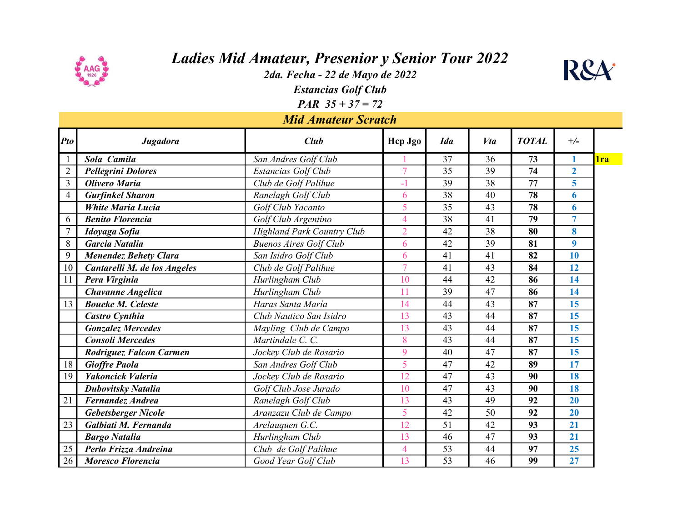

## Ladies Mid Amateur, Presenior y Senior Tour 2022

2da. Fecha - 22 de Mayo de 2022



Estancias Golf Club **PAR**  $35 + 37 = 72$ 

Mid Amateur Scratch

| Pto            | <b>Jugadora</b>              | <b>Club</b>                       | Hcp Jgo        | <b>Ida</b> | Vta | <b>TOTAL</b> | $+/-$          |            |
|----------------|------------------------------|-----------------------------------|----------------|------------|-----|--------------|----------------|------------|
|                | Sola Camila                  | San Andres Golf Club              |                | 37         | 36  | 73           |                | <b>lra</b> |
| $\overline{2}$ | <b>Pellegrini Dolores</b>    | Estancias Golf Club               | $\overline{7}$ | 35         | 39  | 74           | $\overline{2}$ |            |
| 3              | <b>Olivero Maria</b>         | Club de Golf Palihue              | $-1$           | 39         | 38  | 77           | 5              |            |
| $\overline{4}$ | <b>Gurfinkel Sharon</b>      | Ranelagh Golf Club                | 6              | 38         | 40  | 78           | 6              |            |
|                | <b>White Maria Lucia</b>     | Golf Club Yacanto                 | 5              | 35         | 43  | 78           | 6              |            |
| 6              | <b>Benito Florencia</b>      | Golf Club Argentino               | $\overline{4}$ | 38         | 41  | 79           | $\overline{7}$ |            |
| $\overline{7}$ | Idoyaga Sofia                | <b>Highland Park Country Club</b> | $\overline{2}$ | 42         | 38  | 80           | 8              |            |
| 8              | <b>Garcia Natalia</b>        | <b>Buenos Aires Golf Club</b>     | 6              | 42         | 39  | 81           | 9              |            |
| 9              | <b>Menendez Behety Clara</b> | San Isidro Golf Club              | 6              | 41         | 41  | 82           | 10             |            |
| 10             | Cantarelli M. de los Angeles | Club de Golf Palihue              | $\overline{7}$ | 41         | 43  | 84           | 12             |            |
| 11             | Pera Virginia                | Hurlingham Club                   | 10             | 44         | 42  | 86           | 14             |            |
|                | <b>Chavanne Angelica</b>     | Hurlingham Club                   | 11             | 39         | 47  | 86           | 14             |            |
| 13             | <b>Boueke M. Celeste</b>     | Haras Santa María                 | 14             | 44         | 43  | 87           | 15             |            |
|                | Castro Cynthia               | Club Nautico San Isidro           | 13             | 43         | 44  | 87           | 15             |            |
|                | <b>Gonzalez Mercedes</b>     | Mayling Club de Campo             | 13             | 43         | 44  | 87           | 15             |            |
|                | <b>Consoli Mercedes</b>      | Martindale C. C.                  | 8              | 43         | 44  | 87           | 15             |            |
|                | Rodriguez Falcon Carmen      | Jockey Club de Rosario            | 9              | 40         | 47  | 87           | 15             |            |
| 18             | <b>Gioffre Paola</b>         | San Andres Golf Club              | 5              | 47         | 42  | 89           | 17             |            |
| 19             | Yakoncick Valeria            | Jockey Club de Rosario            | 12             | 47         | 43  | 90           | 18             |            |
|                | <b>Dubovitsky Natalia</b>    | Golf Club Jose Jurado             | 10             | 47         | 43  | 90           | 18             |            |
| 21             | Fernandez Andrea             | Ranelagh Golf Club                | 13             | 43         | 49  | 92           | 20             |            |
|                | Gebetsberger Nicole          | Aranzazu Club de Campo            | 5              | 42         | 50  | 92           | 20             |            |
| 23             | Galbiati M. Fernanda         | Arelauquen G.C.                   | 12             | 51         | 42  | 93           | 21             |            |
|                | <b>Bargo Natalia</b>         | Hurlingham Club                   | 13             | 46         | 47  | 93           | 21             |            |
| 25             | Perlo Frizza Andreina        | Club de Golf Palihue              | $\overline{4}$ | 53         | 44  | 97           | 25             |            |
| 26             | <b>Moresco Florencia</b>     | Good Year Golf Club               | 13             | 53         | 46  | 99           | 27             |            |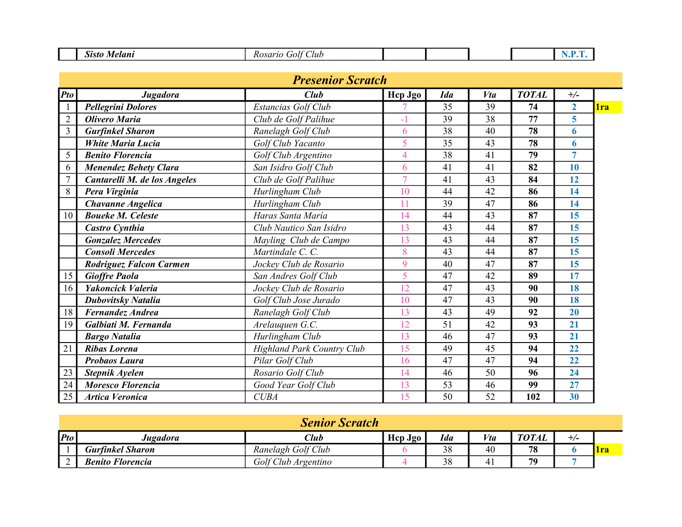| $\sim$<br>.sisto<br>$-0.14$<br>Lub<br>$-1$<br>10L<br>$\cdot \cdot \cdot$ |  |  |
|--------------------------------------------------------------------------|--|--|
|--------------------------------------------------------------------------|--|--|

| <b>Presenior Scratch</b> |                                |                                   |                |            |     |              |                |            |
|--------------------------|--------------------------------|-----------------------------------|----------------|------------|-----|--------------|----------------|------------|
| <b>Pto</b>               | Jugadora                       | <b>Club</b>                       | Hep Jgo        | <b>Ida</b> | Vta | <b>TOTAL</b> | $+/-$          |            |
| $\mathbf{1}$             | <b>Pellegrini Dolores</b>      | Estancias Golf Club               |                | 35         | 39  | 74           | $\overline{2}$ | <b>lra</b> |
| $\overline{2}$           | <b>Olivero Maria</b>           | Club de Golf Palihue              | $-1$           | 39         | 38  | 77           | 5              |            |
| $\overline{3}$           | <b>Gurfinkel Sharon</b>        | Ranelagh Golf Club                | 6              | 38         | 40  | 78           | 6              |            |
|                          | <b>White Maria Lucia</b>       | Golf Club Yacanto                 | 5              | 35         | 43  | 78           | 6              |            |
| 5                        | <b>Benito Florencia</b>        | Golf Club Argentino               | $\overline{4}$ | 38         | 41  | 79           | 7              |            |
| 6                        | <b>Menendez Behety Clara</b>   | San Isidro Golf Club              | 6              | 41         | 41  | 82           | 10             |            |
| $\overline{7}$           | Cantarelli M. de los Angeles   | Club de Golf Palihue              | $\overline{7}$ | 41         | 43  | 84           | 12             |            |
| 8                        | Pera Virginia                  | Hurlingham Club                   | 10             | 44         | 42  | 86           | 14             |            |
|                          | <b>Chavanne Angelica</b>       | Hurlingham Club                   | 11             | 39         | 47  | 86           | 14             |            |
| 10                       | <b>Boueke M. Celeste</b>       | Haras Santa María                 | 14             | 44         | 43  | 87           | 15             |            |
|                          | <b>Castro Cynthia</b>          | Club Nautico San Isidro           | 13             | 43         | 44  | 87           | 15             |            |
|                          | <b>Gonzalez Mercedes</b>       | Mayling Club de Campo             | 13             | 43         | 44  | 87           | 15             |            |
|                          | <b>Consoli Mercedes</b>        | Martindale C. C.                  | 8              | 43         | 44  | 87           | 15             |            |
|                          | <b>Rodriguez Falcon Carmen</b> | Jockey Club de Rosario            | 9              | 40         | 47  | 87           | 15             |            |
| 15                       | <b>Gioffre Paola</b>           | San Andres Golf Club              | 5              | 47         | 42  | 89           | 17             |            |
| 16                       | Yakoncick Valeria              | Jockey Club de Rosario            | 12             | 47         | 43  | 90           | 18             |            |
|                          | <b>Dubovitsky Natalia</b>      | Golf Club Jose Jurado             | 10             | 47         | 43  | 90           | 18             |            |
| 18                       | Fernandez Andrea               | Ranelagh Golf Club                | 13             | 43         | 49  | 92           | 20             |            |
| 19                       | Galbiati M. Fernanda           | Arelauquen G.C.                   | 12             | 51         | 42  | 93           | 21             |            |
|                          | <b>Bargo Natalia</b>           | Hurlingham Club                   | 13             | 46         | 47  | 93           | 21             |            |
| 21                       | <b>Ribas Lorena</b>            | <b>Highland Park Country Club</b> | 15             | 49         | 45  | 94           | 22             |            |
|                          | <b>Probaos Laura</b>           | Pilar Golf Club                   | 16             | 47         | 47  | 94           | 22             |            |
| 23                       | Stepnik Ayelen                 | Rosario Golf Club                 | 14             | 46         | 50  | 96           | 24             |            |
| 24                       | <b>Moresco Florencia</b>       | Good Year Golf Club               | 13             | 53         | 46  | 99           | 27             |            |
| 25                       | <b>Artica Veronica</b>         | <b>CUBA</b>                       | 15             | 50         | 52  | 102          | 30             |            |

| <b>Senior Scratch</b> |                         |                     |         |            |     |              |       |       |
|-----------------------|-------------------------|---------------------|---------|------------|-----|--------------|-------|-------|
| $ P$ to               | Jugadora                | Club                | Hep Jgo | <b>Ida</b> | Vta | <b>TOTAL</b> | $+/-$ |       |
|                       | <b>Gurfinkel Sharon</b> | Ranelagh Golf Club  |         | 38         | 40  | 78           |       | l Ira |
|                       | <b>Benito Florencia</b> | Golf Club Argentino |         | 38         | 41  | 79           |       |       |